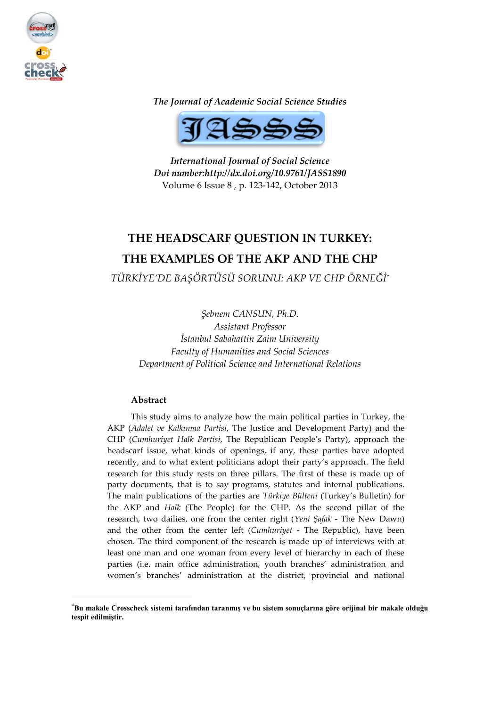

*The Journal of Academic Social Science Studies*



*International Journal of Social Science Doi number:http://dx.doi.org/10.9761/JASS1890* Volume 6 Issue 8 , p. 123-142, October 2013

# **THE HEADSCARF QUESTION IN TURKEY: THE EXAMPLES OF THE AKP AND THE CHP**

*TÜRKİYE'DE BAŞÖRTÜSÜ SORUNU: AKP VE CHP ÖRNEĞİ***\***

*Şebnem CANSUN, Ph.D. Assistant Professor İstanbul Sabahattin Zaim University Faculty of Humanities and Social Sciences Department of Political Science and International Relations*

# **Abstract**

1

This study aims to analyze how the main political parties in Turkey, the AKP (*Adalet ve Kalkınma Partisi*, The Justice and Development Party) and the CHP (*Cumhuriyet Halk Partisi*, The Republican People's Party), approach the headscarf issue, what kinds of openings, if any, these parties have adopted recently, and to what extent politicians adopt their party's approach. The field research for this study rests on three pillars. The first of these is made up of party documents, that is to say programs, statutes and internal publications. The main publications of the parties are *Türkiye Bülteni* (Turkey's Bulletin) for the AKP and *Halk* (The People) for the CHP. As the second pillar of the research, two dailies, one from the center right (*Yeni Şafak* - The New Dawn) and the other from the center left (*Cumhuriyet* - The Republic), have been chosen. The third component of the research is made up of interviews with at least one man and one woman from every level of hierarchy in each of these parties (i.e. main office administration, youth branches' administration and women's branches' administration at the district, provincial and national

<sup>\*</sup>**Bu makale Crosscheck sistemi tarafından taranmış ve bu sistem sonuçlarına göre orijinal bir makale olduğu tespit edilmiştir.**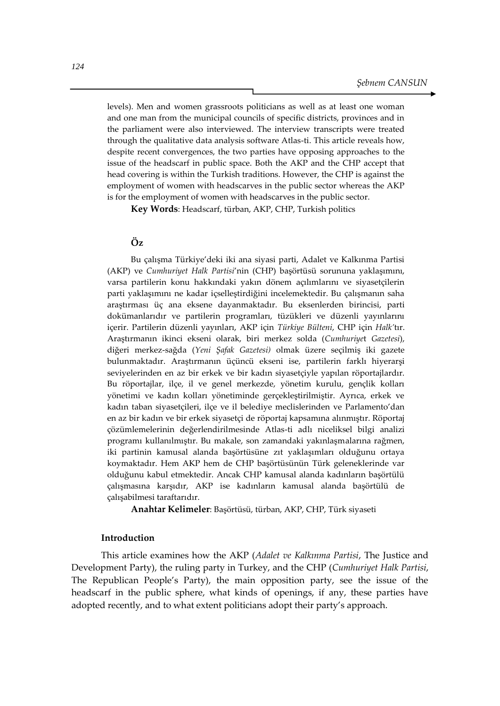levels). Men and women grassroots politicians as well as at least one woman and one man from the municipal councils of specific districts, provinces and in the parliament were also interviewed. The interview transcripts were treated through the qualitative data analysis software Atlas-ti. This article reveals how, despite recent convergences, the two parties have opposing approaches to the issue of the headscarf in public space. Both the AKP and the CHP accept that head covering is within the Turkish traditions. However, the CHP is against the employment of women with headscarves in the public sector whereas the AKP is for the employment of women with headscarves in the public sector.

**Key Words**: Headscarf, türban, AKP, CHP, Turkish politics

#### **Öz**

Bu çalışma Türkiye'deki iki ana siyasi parti, Adalet ve Kalkınma Partisi (AKP) ve *Cumhuriyet Halk Partisi*'nin (CHP) başörtüsü sorununa yaklaşımını, varsa partilerin konu hakkındaki yakın dönem açılımlarını ve siyasetçilerin parti yaklaşımını ne kadar içselleştirdiğini incelemektedir. Bu çalışmanın saha araştırması üç ana eksene dayanmaktadır. Bu eksenlerden birincisi, parti dokümanlarıdır ve partilerin programları, tüzükleri ve düzenli yayınlarını içerir. Partilerin düzenli yayınları, AKP için *Türkiye Bülteni*, CHP için *Halk'*tır. Araştırmanın ikinci ekseni olarak, biri merkez solda (*Cumhuriye*t *Gazetesi*), diğeri merkez-sağda (*Yeni Şafak Gazetesi)* olmak üzere seçilmiş iki gazete bulunmaktadır. Araştırmanın üçüncü ekseni ise, partilerin farklı hiyerarşi seviyelerinden en az bir erkek ve bir kadın siyasetçiyle yapılan röportajlardır. Bu röportajlar, ilçe, il ve genel merkezde, yönetim kurulu, gençlik kolları yönetimi ve kadın kolları yönetiminde gerçekleştirilmiştir. Ayrıca, erkek ve kadın taban siyasetçileri, ilçe ve il belediye meclislerinden ve Parlamento'dan en az bir kadın ve bir erkek siyasetçi de röportaj kapsamına alınmıştır. Röportaj çözümlemelerinin değerlendirilmesinde Atlas-ti adlı niceliksel bilgi analizi programı kullanılmıştır. Bu makale, son zamandaki yakınlaşmalarına rağmen, iki partinin kamusal alanda başörtüsüne zıt yaklaşımları olduğunu ortaya koymaktadır. Hem AKP hem de CHP başörtüsünün Türk geleneklerinde var olduğunu kabul etmektedir. Ancak CHP kamusal alanda kadınların başörtülü çalışmasına karşıdır, AKP ise kadınların kamusal alanda başörtülü de çalışabilmesi taraftarıdır.

**Anahtar Kelimeler**: Başörtüsü, türban, AKP, CHP, Türk siyaseti

## **Introduction**

This article examines how the AKP (*Adalet ve Kalkınma Partisi*, The Justice and Development Party), the ruling party in Turkey, and the CHP (*Cumhuriyet Halk Partisi*, The Republican People's Party), the main opposition party, see the issue of the headscarf in the public sphere, what kinds of openings, if any, these parties have adopted recently, and to what extent politicians adopt their party's approach.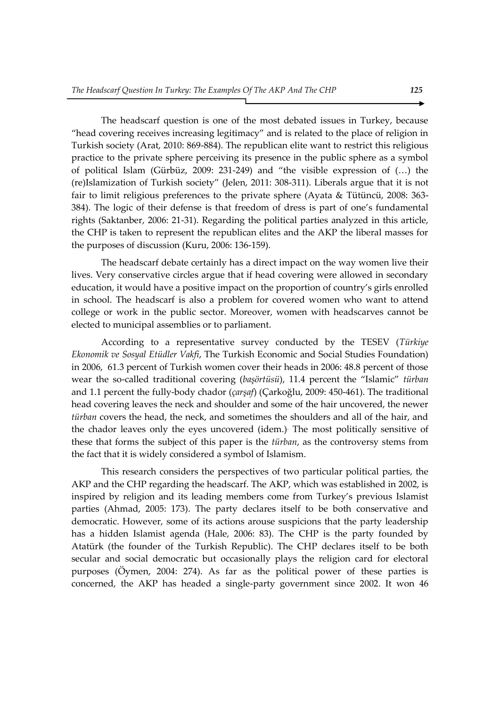The headscarf question is one of the most debated issues in Turkey, because "head covering receives increasing legitimacy" and is related to the place of religion in Turkish society (Arat, 2010: 869-884). The republican elite want to restrict this religious practice to the private sphere perceiving its presence in the public sphere as a symbol of political Islam (Gürbüz, 2009: 231-249) and "the visible expression of (…) the (re)Islamization of Turkish society" (Jelen, 2011: 308-311). Liberals argue that it is not fair to limit religious preferences to the private sphere (Ayata & Tütüncü, 2008: 363- 384). The logic of their defense is that freedom of dress is part of one's fundamental rights (Saktanber, 2006: 21-31). Regarding the political parties analyzed in this article, the CHP is taken to represent the republican elites and the AKP the liberal masses for the purposes of discussion (Kuru, 2006: 136-159).

The headscarf debate certainly has a direct impact on the way women live their lives. Very conservative circles argue that if head covering were allowed in secondary education, it would have a positive impact on the proportion of country's girls enrolled in school. The headscarf is also a problem for covered women who want to attend college or work in the public sector. Moreover, women with headscarves cannot be elected to municipal assemblies or to parliament.

According to a representative survey conducted by the TESEV (*Türkiye Ekonomik ve Sosyal Etüdler Vakfi*, The Turkish Economic and Social Studies Foundation) in 2006, 61.3 percent of Turkish women cover their heads in 2006: 48.8 percent of those wear the so-called traditional covering (*başörtüsü*), 11.4 percent the "Islamic" *türban*  and 1.1 percent the fully-body chador (*çarşaf*) (Çarkoğlu, 2009: 450-461). The traditional head covering leaves the neck and shoulder and some of the hair uncovered, the newer *türban* covers the head, the neck, and sometimes the shoulders and all of the hair, and the chador leaves only the eyes uncovered (idem.). The most politically sensitive of these that forms the subject of this paper is the *türban*, as the controversy stems from the fact that it is widely considered a symbol of Islamism.

This research considers the perspectives of two particular political parties, the AKP and the CHP regarding the headscarf. The AKP, which was established in 2002, is inspired by religion and its leading members come from Turkey's previous Islamist parties (Ahmad, 2005: 173). The party declares itself to be both conservative and democratic. However, some of its actions arouse suspicions that the party leadership has a hidden Islamist agenda (Hale, 2006: 83). The CHP is the party founded by Atatürk (the founder of the Turkish Republic). The CHP declares itself to be both secular and social democratic but occasionally plays the religion card for electoral purposes (Öymen, 2004: 274). As far as the political power of these parties is concerned, the AKP has headed a single-party government since 2002. It won 46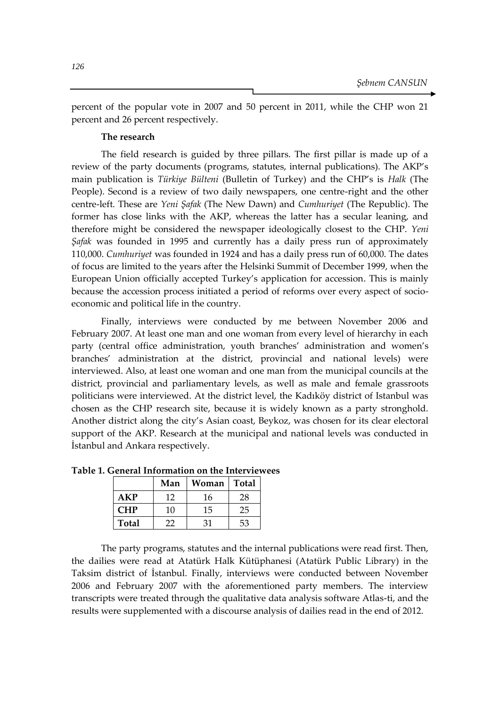percent of the popular vote in 2007 and 50 percent in 2011, while the CHP won 21 percent and 26 percent respectively.

## **The research**

The field research is guided by three pillars. The first pillar is made up of a review of the party documents (programs, statutes, internal publications). The AKP's main publication is *Türkiye Bülteni* (Bulletin of Turkey) and the CHP's is *Halk* (The People). Second is a review of two daily newspapers, one centre-right and the other centre-left. These are *Yeni Şafak* (The New Dawn) and *Cumhuriyet* (The Republic). The former has close links with the AKP, whereas the latter has a secular leaning, and therefore might be considered the newspaper ideologically closest to the CHP. *Yeni Şafak* was founded in 1995 and currently has a daily press run of approximately 110,000. *Cumhuriyet* was founded in 1924 and has a daily press run of 60,000. The dates of focus are limited to the years after the Helsinki Summit of December 1999, when the European Union officially accepted Turkey's application for accession. This is mainly because the accession process initiated a period of reforms over every aspect of socioeconomic and political life in the country.

Finally, interviews were conducted by me between November 2006 and February 2007. At least one man and one woman from every level of hierarchy in each party (central office administration, youth branches' administration and women's branches' administration at the district, provincial and national levels) were interviewed. Also, at least one woman and one man from the municipal councils at the district, provincial and parliamentary levels, as well as male and female grassroots politicians were interviewed. At the district level, the Kadıköy district of Istanbul was chosen as the CHP research site, because it is widely known as a party stronghold. Another district along the city's Asian coast, Beykoz, was chosen for its clear electoral support of the AKP. Research at the municipal and national levels was conducted in İstanbul and Ankara respectively.

|            | Man | Woman | <b>Total</b> |
|------------|-----|-------|--------------|
| AKP        | 12  | 16    | 28           |
| <b>CHP</b> | 10  | 15    | 25           |
| Total      | 22  | 31    | 53           |

**Table 1. General Information on the Interviewees** 

The party programs, statutes and the internal publications were read first. Then, the dailies were read at Atatürk Halk Kütüphanesi (Atatürk Public Library) in the Taksim district of İstanbul. Finally, interviews were conducted between November 2006 and February 2007 with the aforementioned party members. The interview transcripts were treated through the qualitative data analysis software Atlas-ti, and the results were supplemented with a discourse analysis of dailies read in the end of 2012.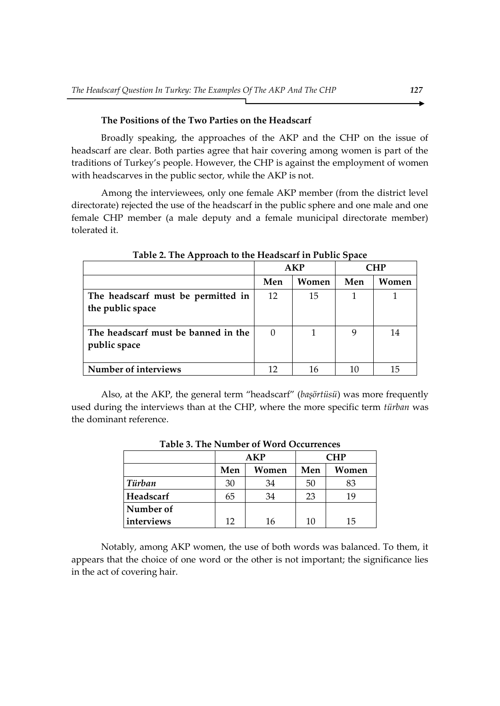# **The Positions of the Two Parties on the Headscarf**

Broadly speaking, the approaches of the AKP and the CHP on the issue of headscarf are clear. Both parties agree that hair covering among women is part of the traditions of Turkey's people. However, the CHP is against the employment of women with headscarves in the public sector, while the AKP is not.

Among the interviewees, only one female AKP member (from the district level directorate) rejected the use of the headscarf in the public sphere and one male and one female CHP member (a male deputy and a female municipal directorate member) tolerated it.

|                                                        | <b>AKP</b> |       | CHP |       |
|--------------------------------------------------------|------------|-------|-----|-------|
|                                                        | Men        | Women | Men | Women |
| The headscarf must be permitted in<br>the public space | 12         | 15    |     |       |
| The headscarf must be banned in the<br>public space    | $\Omega$   |       | 9   | 14    |
| Number of interviews                                   |            | 16    | 10  | 15    |

**Table 2. The Approach to the Headscarf in Public Space**

Also, at the AKP, the general term "headscarf" (*başörtüsü*) was more frequently used during the interviews than at the CHP, where the more specific term *türban* was the dominant reference.

|            | AKP |       | <b>CHP</b> |       |  |  |  |
|------------|-----|-------|------------|-------|--|--|--|
|            | Men | Women | Men        | Women |  |  |  |
| Türban     | 30  | 34    | 50         | 83    |  |  |  |
| Headscarf  | 65  | 34    | 23         | 19    |  |  |  |
| Number of  |     |       |            |       |  |  |  |
| interviews | 12  | 16    | 10         | 15    |  |  |  |

**Table 3. The Number of Word Occurrences**

Notably, among AKP women, the use of both words was balanced. To them, it appears that the choice of one word or the other is not important; the significance lies in the act of covering hair.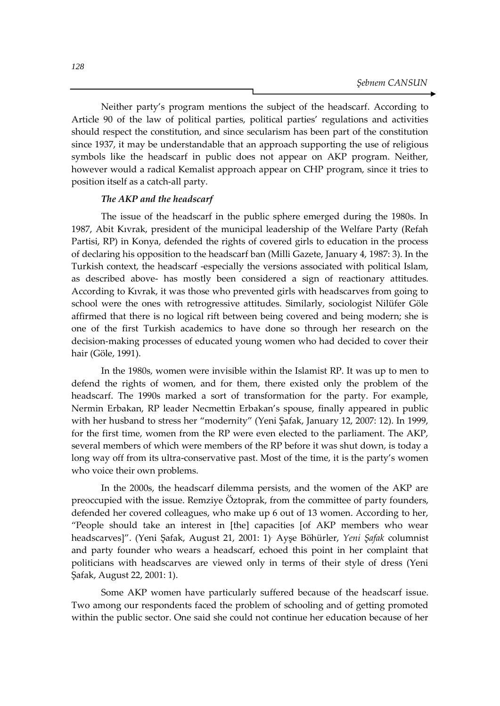Neither party's program mentions the subject of the headscarf. According to Article 90 of the law of political parties, political parties' regulations and activities should respect the constitution, and since secularism has been part of the constitution since 1937, it may be understandable that an approach supporting the use of religious symbols like the headscarf in public does not appear on AKP program. Neither, however would a radical Kemalist approach appear on CHP program, since it tries to position itself as a catch-all party.

### *The AKP and the headscarf*

The issue of the headscarf in the public sphere emerged during the 1980s. In 1987, Abit Kıvrak, president of the municipal leadership of the Welfare Party (Refah Partisi, RP) in Konya, defended the rights of covered girls to education in the process of declaring his opposition to the headscarf ban (Milli Gazete, January 4, 1987: 3). In the Turkish context, the headscarf -especially the versions associated with political Islam, as described above- has mostly been considered a sign of reactionary attitudes. According to Kıvrak, it was those who prevented girls with headscarves from going to school were the ones with retrogressive attitudes. Similarly, sociologist Nilüfer Göle affirmed that there is no logical rift between being covered and being modern; she is one of the first Turkish academics to have done so through her research on the decision-making processes of educated young women who had decided to cover their hair (Göle, 1991).

In the 1980s, women were invisible within the Islamist RP. It was up to men to defend the rights of women, and for them, there existed only the problem of the headscarf. The 1990s marked a sort of transformation for the party. For example, Nermin Erbakan, RP leader Necmettin Erbakan's spouse, finally appeared in public with her husband to stress her "modernity" (Yeni Şafak, January 12, 2007: 12). In 1999, for the first time, women from the RP were even elected to the parliament. The AKP, several members of which were members of the RP before it was shut down, is today a long way off from its ultra-conservative past. Most of the time, it is the party's women who voice their own problems.

In the 2000s, the headscarf dilemma persists, and the women of the AKP are preoccupied with the issue. Remziye Öztoprak, from the committee of party founders, defended her covered colleagues, who make up 6 out of 13 women. According to her, "People should take an interest in [the] capacities [of AKP members who wear headscarves]". (Yeni Şafak, August 21, 2001: 1). Ayşe Böhürler, *Yeni Şafak* columnist and party founder who wears a headscarf, echoed this point in her complaint that politicians with headscarves are viewed only in terms of their style of dress (Yeni Şafak, August 22, 2001: 1).

Some AKP women have particularly suffered because of the headscarf issue. Two among our respondents faced the problem of schooling and of getting promoted within the public sector. One said she could not continue her education because of her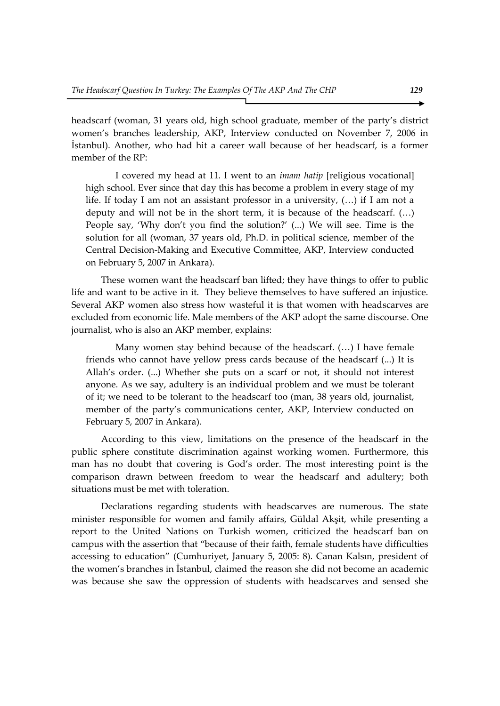headscarf (woman, 31 years old, high school graduate, member of the party's district women's branches leadership, AKP, Interview conducted on November 7, 2006 in İstanbul). Another, who had hit a career wall because of her headscarf, is a former member of the RP:

I covered my head at 11. I went to an *imam hatip* [religious vocational] high school. Ever since that day this has become a problem in every stage of my life. If today I am not an assistant professor in a university, (…) if I am not a deputy and will not be in the short term, it is because of the headscarf. (…) People say, 'Why don't you find the solution?' (...) We will see. Time is the solution for all (woman, 37 years old, Ph.D. in political science, member of the Central Decision-Making and Executive Committee, AKP, Interview conducted on February 5, 2007 in Ankara).

These women want the headscarf ban lifted; they have things to offer to public life and want to be active in it. They believe themselves to have suffered an injustice. Several AKP women also stress how wasteful it is that women with headscarves are excluded from economic life. Male members of the AKP adopt the same discourse. One journalist, who is also an AKP member, explains:

Many women stay behind because of the headscarf. (…) I have female friends who cannot have yellow press cards because of the headscarf (...) It is Allah's order. (...) Whether she puts on a scarf or not, it should not interest anyone. As we say, adultery is an individual problem and we must be tolerant of it; we need to be tolerant to the headscarf too (man, 38 years old, journalist, member of the party's communications center, AKP, Interview conducted on February 5, 2007 in Ankara).

According to this view, limitations on the presence of the headscarf in the public sphere constitute discrimination against working women. Furthermore, this man has no doubt that covering is God's order. The most interesting point is the comparison drawn between freedom to wear the headscarf and adultery; both situations must be met with toleration.

Declarations regarding students with headscarves are numerous. The state minister responsible for women and family affairs, Güldal Akşit, while presenting a report to the United Nations on Turkish women, criticized the headscarf ban on campus with the assertion that "because of their faith, female students have difficulties accessing to education" (Cumhuriyet, January 5, 2005: 8). Canan Kalsın, president of the women's branches in İstanbul, claimed the reason she did not become an academic was because she saw the oppression of students with headscarves and sensed she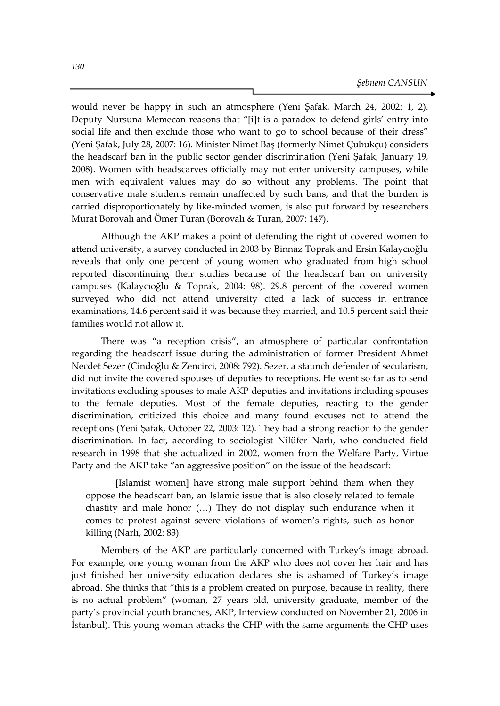would never be happy in such an atmosphere (Yeni Şafak, March 24, 2002: 1, 2). Deputy Nursuna Memecan reasons that "[i]t is a paradox to defend girls' entry into social life and then exclude those who want to go to school because of their dress" (Yeni Şafak, July 28, 2007: 16). Minister Nimet Baş (formerly Nimet Çubukçu) considers the headscarf ban in the public sector gender discrimination (Yeni Şafak, January 19, 2008). Women with headscarves officially may not enter university campuses, while men with equivalent values may do so without any problems. The point that conservative male students remain unaffected by such bans, and that the burden is carried disproportionately by like-minded women, is also put forward by researchers Murat Borovalı and Ömer Turan (Borovalı & Turan, 2007: 147).

Although the AKP makes a point of defending the right of covered women to attend university, a survey conducted in 2003 by Binnaz Toprak and Ersin Kalaycıoğlu reveals that only one percent of young women who graduated from high school reported discontinuing their studies because of the headscarf ban on university campuses (Kalaycıoğlu & Toprak, 2004: 98). 29.8 percent of the covered women surveyed who did not attend university cited a lack of success in entrance examinations, 14.6 percent said it was because they married, and 10.5 percent said their families would not allow it.

There was "a reception crisis", an atmosphere of particular confrontation regarding the headscarf issue during the administration of former President Ahmet Necdet Sezer (Cindoğlu & Zencirci, 2008: 792). Sezer, a staunch defender of secularism, did not invite the covered spouses of deputies to receptions. He went so far as to send invitations excluding spouses to male AKP deputies and invitations including spouses to the female deputies. Most of the female deputies, reacting to the gender discrimination, criticized this choice and many found excuses not to attend the receptions (Yeni Şafak, October 22, 2003: 12). They had a strong reaction to the gender discrimination. In fact, according to sociologist Nilüfer Narlı, who conducted field research in 1998 that she actualized in 2002, women from the Welfare Party, Virtue Party and the AKP take "an aggressive position" on the issue of the headscarf:

[Islamist women] have strong male support behind them when they oppose the headscarf ban, an Islamic issue that is also closely related to female chastity and male honor (…) They do not display such endurance when it comes to protest against severe violations of women's rights, such as honor killing (Narlı, 2002: 83).

Members of the AKP are particularly concerned with Turkey's image abroad. For example, one young woman from the AKP who does not cover her hair and has just finished her university education declares she is ashamed of Turkey's image abroad. She thinks that "this is a problem created on purpose, because in reality, there is no actual problem" (woman, 27 years old, university graduate, member of the party's provincial youth branches, AKP, Interview conducted on November 21, 2006 in İstanbul). This young woman attacks the CHP with the same arguments the CHP uses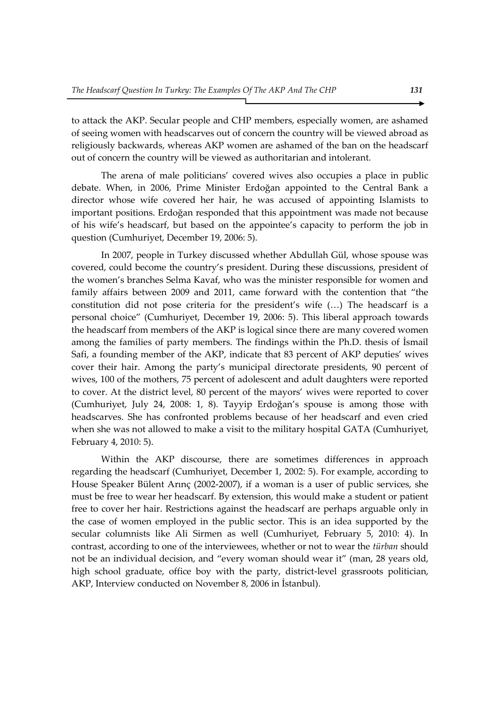to attack the AKP. Secular people and CHP members, especially women, are ashamed of seeing women with headscarves out of concern the country will be viewed abroad as religiously backwards, whereas AKP women are ashamed of the ban on the headscarf out of concern the country will be viewed as authoritarian and intolerant.

The arena of male politicians' covered wives also occupies a place in public debate. When, in 2006, Prime Minister Erdoğan appointed to the Central Bank a director whose wife covered her hair, he was accused of appointing Islamists to important positions. Erdoğan responded that this appointment was made not because of his wife's headscarf, but based on the appointee's capacity to perform the job in question (Cumhuriyet, December 19, 2006: 5).

In 2007, people in Turkey discussed whether Abdullah Gül, whose spouse was covered, could become the country's president. During these discussions, president of the women's branches Selma Kavaf, who was the minister responsible for women and family affairs between 2009 and 2011, came forward with the contention that "the constitution did not pose criteria for the president's wife (…) The headscarf is a personal choice" (Cumhuriyet, December 19, 2006: 5). This liberal approach towards the headscarf from members of the AKP is logical since there are many covered women among the families of party members. The findings within the Ph.D. thesis of İsmail Safi, a founding member of the AKP, indicate that 83 percent of AKP deputies' wives cover their hair. Among the party's municipal directorate presidents, 90 percent of wives, 100 of the mothers, 75 percent of adolescent and adult daughters were reported to cover. At the district level, 80 percent of the mayors' wives were reported to cover (Cumhuriyet, July 24, 2008: 1, 8). Tayyip Erdoğan's spouse is among those with headscarves. She has confronted problems because of her headscarf and even cried when she was not allowed to make a visit to the military hospital GATA (Cumhuriyet, February 4, 2010: 5).

Within the AKP discourse, there are sometimes differences in approach regarding the headscarf (Cumhuriyet, December 1, 2002: 5). For example, according to House Speaker Bülent Arınç (2002-2007), if a woman is a user of public services, she must be free to wear her headscarf. By extension, this would make a student or patient free to cover her hair. Restrictions against the headscarf are perhaps arguable only in the case of women employed in the public sector. This is an idea supported by the secular columnists like Ali Sirmen as well (Cumhuriyet, February 5, 2010: 4). In contrast, according to one of the interviewees, whether or not to wear the *türban* should not be an individual decision, and "every woman should wear it" (man, 28 years old, high school graduate, office boy with the party, district-level grassroots politician, AKP, Interview conducted on November 8, 2006 in İstanbul).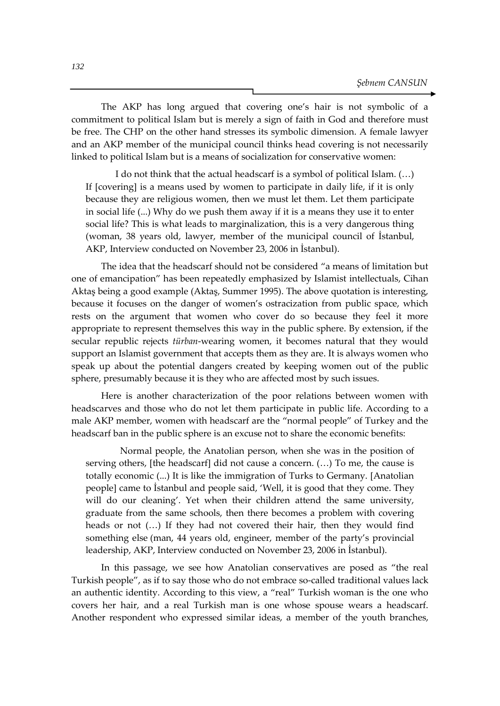The AKP has long argued that covering one's hair is not symbolic of a commitment to political Islam but is merely a sign of faith in God and therefore must be free. The CHP on the other hand stresses its symbolic dimension. A female lawyer and an AKP member of the municipal council thinks head covering is not necessarily linked to political Islam but is a means of socialization for conservative women:

I do not think that the actual headscarf is a symbol of political Islam. (…) If [covering] is a means used by women to participate in daily life, if it is only because they are religious women, then we must let them. Let them participate in social life (...) Why do we push them away if it is a means they use it to enter social life? This is what leads to marginalization, this is a very dangerous thing (woman, 38 years old, lawyer, member of the municipal council of İstanbul, AKP, Interview conducted on November 23, 2006 in İstanbul).

The idea that the headscarf should not be considered "a means of limitation but one of emancipation" has been repeatedly emphasized by Islamist intellectuals, Cihan Aktaş being a good example (Aktaş, Summer 1995). The above quotation is interesting, because it focuses on the danger of women's ostracization from public space, which rests on the argument that women who cover do so because they feel it more appropriate to represent themselves this way in the public sphere. By extension, if the secular republic rejects *türban*-wearing women, it becomes natural that they would support an Islamist government that accepts them as they are. It is always women who speak up about the potential dangers created by keeping women out of the public sphere, presumably because it is they who are affected most by such issues.

Here is another characterization of the poor relations between women with headscarves and those who do not let them participate in public life. According to a male AKP member, women with headscarf are the "normal people" of Turkey and the headscarf ban in the public sphere is an excuse not to share the economic benefits:

 Normal people, the Anatolian person, when she was in the position of serving others, [the headscarf] did not cause a concern. (…) To me, the cause is totally economic (...) It is like the immigration of Turks to Germany. [Anatolian people] came to İstanbul and people said, 'Well, it is good that they come. They will do our cleaning'. Yet when their children attend the same university, graduate from the same schools, then there becomes a problem with covering heads or not (…) If they had not covered their hair, then they would find something else (man, 44 years old, engineer, member of the party's provincial leadership, AKP, Interview conducted on November 23, 2006 in İstanbul).

In this passage, we see how Anatolian conservatives are posed as "the real Turkish people", as if to say those who do not embrace so-called traditional values lack an authentic identity. According to this view, a "real" Turkish woman is the one who covers her hair, and a real Turkish man is one whose spouse wears a headscarf. Another respondent who expressed similar ideas, a member of the youth branches,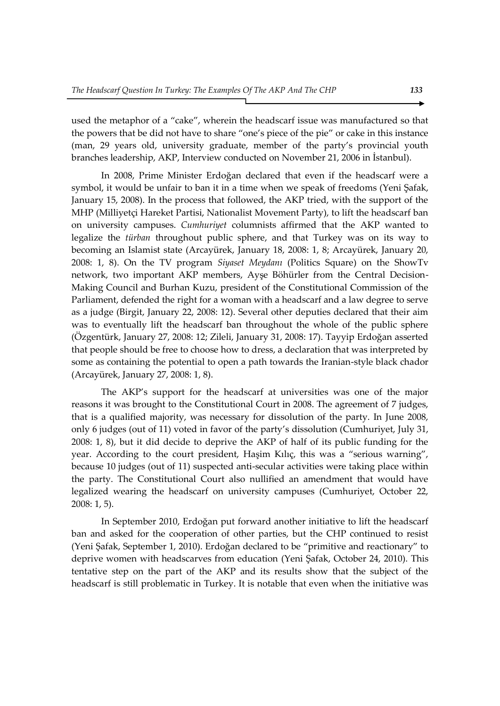used the metaphor of a "cake", wherein the headscarf issue was manufactured so that the powers that be did not have to share "one's piece of the pie" or cake in this instance (man, 29 years old, university graduate, member of the party's provincial youth branches leadership, AKP, Interview conducted on November 21, 2006 in İstanbul).

In 2008, Prime Minister Erdoğan declared that even if the headscarf were a symbol, it would be unfair to ban it in a time when we speak of freedoms (Yeni Şafak, January 15, 2008). In the process that followed, the AKP tried, with the support of the MHP (Milliyetçi Hareket Partisi, Nationalist Movement Party), to lift the headscarf ban on university campuses. *Cumhuriyet* columnists affirmed that the AKP wanted to legalize the *türban* throughout public sphere, and that Turkey was on its way to becoming an Islamist state (Arcayürek, January 18, 2008: 1, 8; Arcayürek, January 20, 2008: 1, 8). On the TV program *Siyaset Meydanı* (Politics Square) on the ShowTv network, two important AKP members, Ayşe Böhürler from the Central Decision-Making Council and Burhan Kuzu, president of the Constitutional Commission of the Parliament, defended the right for a woman with a headscarf and a law degree to serve as a judge (Birgit, January 22, 2008: 12). Several other deputies declared that their aim was to eventually lift the headscarf ban throughout the whole of the public sphere (Özgentürk, January 27, 2008: 12; Zileli, January 31, 2008: 17). Tayyip Erdoğan asserted that people should be free to choose how to dress, a declaration that was interpreted by some as containing the potential to open a path towards the Iranian-style black chador (Arcayürek, January 27, 2008: 1, 8).

The AKP's support for the headscarf at universities was one of the major reasons it was brought to the Constitutional Court in 2008. The agreement of 7 judges, that is a qualified majority, was necessary for dissolution of the party. In June 2008, only 6 judges (out of 11) voted in favor of the party's dissolution (Cumhuriyet, July 31, 2008: 1, 8), but it did decide to deprive the AKP of half of its public funding for the year. According to the court president, Haşim Kılıç, this was a "serious warning", because 10 judges (out of 11) suspected anti-secular activities were taking place within the party. The Constitutional Court also nullified an amendment that would have legalized wearing the headscarf on university campuses (Cumhuriyet, October 22, 2008: 1, 5).

In September 2010, Erdoğan put forward another initiative to lift the headscarf ban and asked for the cooperation of other parties, but the CHP continued to resist (Yeni Şafak, September 1, 2010). Erdoğan declared to be "primitive and reactionary" to deprive women with headscarves from education (Yeni Şafak, October 24, 2010). This tentative step on the part of the AKP and its results show that the subject of the headscarf is still problematic in Turkey. It is notable that even when the initiative was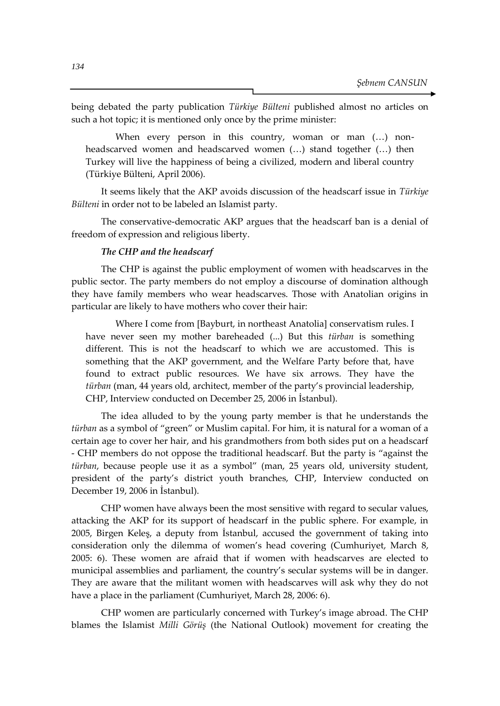being debated the party publication *Türkiye Bülteni* published almost no articles on such a hot topic; it is mentioned only once by the prime minister:

When every person in this country, woman or man (...) nonheadscarved women and headscarved women (…) stand together (…) then Turkey will live the happiness of being a civilized, modern and liberal country (Türkiye Bülteni, April 2006).

It seems likely that the AKP avoids discussion of the headscarf issue in *Türkiye Bülteni* in order not to be labeled an Islamist party.

The conservative-democratic AKP argues that the headscarf ban is a denial of freedom of expression and religious liberty.

## *The CHP and the headscarf*

The CHP is against the public employment of women with headscarves in the public sector. The party members do not employ a discourse of domination although they have family members who wear headscarves. Those with Anatolian origins in particular are likely to have mothers who cover their hair:

Where I come from [Bayburt, in northeast Anatolia] conservatism rules. I have never seen my mother bareheaded (...) But this *türban* is something different. This is not the headscarf to which we are accustomed. This is something that the AKP government, and the Welfare Party before that, have found to extract public resources. We have six arrows. They have the *türban* (man, 44 years old, architect, member of the party's provincial leadership, CHP, Interview conducted on December 25, 2006 in İstanbul).

The idea alluded to by the young party member is that he understands the *türban* as a symbol of "green" or Muslim capital. For him, it is natural for a woman of a certain age to cover her hair, and his grandmothers from both sides put on a headscarf - CHP members do not oppose the traditional headscarf. But the party is "against the *türban*, because people use it as a symbol" (man, 25 years old, university student, president of the party's district youth branches, CHP, Interview conducted on December 19, 2006 in İstanbul).

CHP women have always been the most sensitive with regard to secular values, attacking the AKP for its support of headscarf in the public sphere. For example, in 2005, Birgen Keleş, a deputy from İstanbul, accused the government of taking into consideration only the dilemma of women's head covering (Cumhuriyet, March 8, 2005: 6). These women are afraid that if women with headscarves are elected to municipal assemblies and parliament, the country's secular systems will be in danger. They are aware that the militant women with headscarves will ask why they do not have a place in the parliament (Cumhuriyet, March 28, 2006: 6).

CHP women are particularly concerned with Turkey's image abroad. The CHP blames the Islamist *Milli Görüş* (the National Outlook) movement for creating the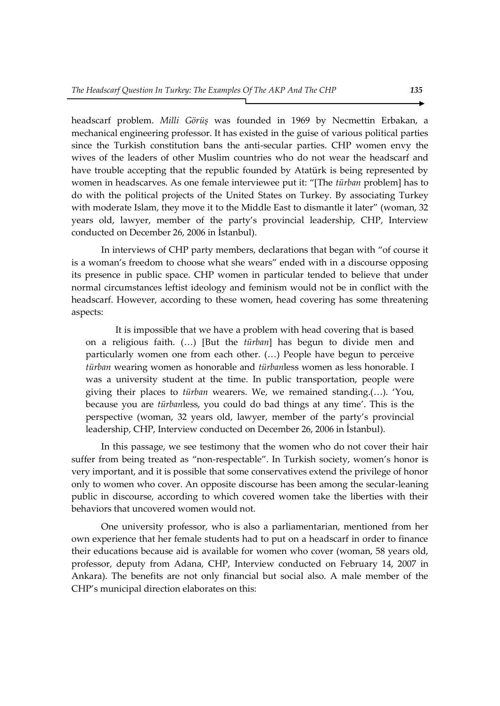headscarf problem. *Milli Görüş* was founded in 1969 by Necmettin Erbakan, a mechanical engineering professor. It has existed in the guise of various political parties since the Turkish constitution bans the anti-secular parties. CHP women envy the wives of the leaders of other Muslim countries who do not wear the headscarf and have trouble accepting that the republic founded by Atatürk is being represented by women in headscarves. As one female interviewee put it: "[The *türban* problem] has to do with the political projects of the United States on Turkey. By associating Turkey with moderate Islam, they move it to the Middle East to dismantle it later" (woman, 32 years old, lawyer, member of the party's provincial leadership, CHP, Interview conducted on December 26, 2006 in İstanbul).

In interviews of CHP party members, declarations that began with "of course it is a woman's freedom to choose what she wears" ended with in a discourse opposing its presence in public space. CHP women in particular tended to believe that under normal circumstances leftist ideology and feminism would not be in conflict with the headscarf. However, according to these women, head covering has some threatening aspects:

It is impossible that we have a problem with head covering that is based on a religious faith. (…) [But the *türban*] has begun to divide men and particularly women one from each other. (…) People have begun to perceive *türban* wearing women as honorable and *türban*less women as less honorable. I was a university student at the time. In public transportation, people were giving their places to *türban* wearers. We, we remained standing.(…). 'You, because you are *türban*less, you could do bad things at any time'. This is the perspective (woman, 32 years old, lawyer, member of the party's provincial leadership, CHP, Interview conducted on December 26, 2006 in İstanbul).

In this passage, we see testimony that the women who do not cover their hair suffer from being treated as "non-respectable". In Turkish society, women's honor is very important, and it is possible that some conservatives extend the privilege of honor only to women who cover. An opposite discourse has been among the secular-leaning public in discourse, according to which covered women take the liberties with their behaviors that uncovered women would not.

One university professor, who is also a parliamentarian, mentioned from her own experience that her female students had to put on a headscarf in order to finance their educations because aid is available for women who cover (woman, 58 years old, professor, deputy from Adana, CHP, Interview conducted on February 14, 2007 in Ankara). The benefits are not only financial but social also. A male member of the CHP's municipal direction elaborates on this: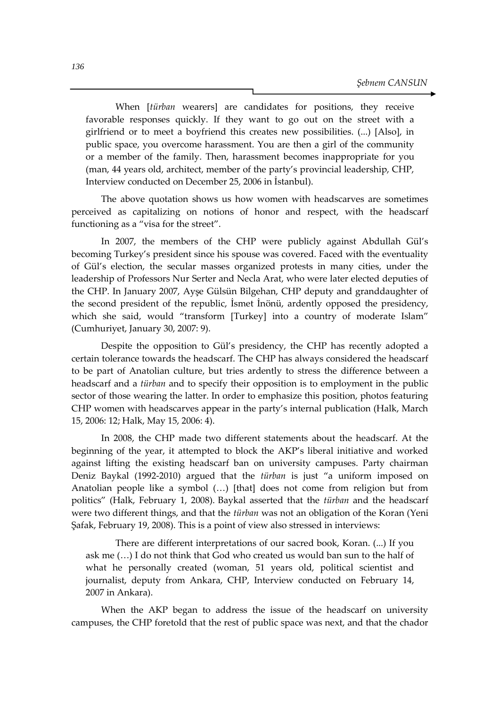When [*türban* wearers] are candidates for positions, they receive favorable responses quickly. If they want to go out on the street with a girlfriend or to meet a boyfriend this creates new possibilities. (...) [Also], in public space, you overcome harassment. You are then a girl of the community or a member of the family. Then, harassment becomes inappropriate for you (man, 44 years old, architect, member of the party's provincial leadership, CHP, Interview conducted on December 25, 2006 in İstanbul).

The above quotation shows us how women with headscarves are sometimes perceived as capitalizing on notions of honor and respect, with the headscarf functioning as a "visa for the street".

In 2007, the members of the CHP were publicly against Abdullah Gül's becoming Turkey's president since his spouse was covered. Faced with the eventuality of Gül's election, the secular masses organized protests in many cities, under the leadership of Professors Nur Serter and Necla Arat, who were later elected deputies of the CHP. In January 2007, Ayşe Gülsün Bilgehan, CHP deputy and granddaughter of the second president of the republic, İsmet İnönü, ardently opposed the presidency, which she said, would "transform [Turkey] into a country of moderate Islam" (Cumhuriyet, January 30, 2007: 9).

Despite the opposition to Gül's presidency, the CHP has recently adopted a certain tolerance towards the headscarf. The CHP has always considered the headscarf to be part of Anatolian culture, but tries ardently to stress the difference between a headscarf and a *türban* and to specify their opposition is to employment in the public sector of those wearing the latter. In order to emphasize this position, photos featuring CHP women with headscarves appear in the party's internal publication (Halk, March 15, 2006: 12; Halk, May 15, 2006: 4).

In 2008, the CHP made two different statements about the headscarf. At the beginning of the year, it attempted to block the AKP's liberal initiative and worked against lifting the existing headscarf ban on university campuses. Party chairman Deniz Baykal (1992-2010) argued that the *türban* is just "a uniform imposed on Anatolian people like a symbol (…) [that] does not come from religion but from politics" (Halk, February 1, 2008). Baykal asserted that the *türban* and the headscarf were two different things, and that the *türban* was not an obligation of the Koran (Yeni Şafak, February 19, 2008). This is a point of view also stressed in interviews:

There are different interpretations of our sacred book, Koran. (...) If you ask me (…) I do not think that God who created us would ban sun to the half of what he personally created (woman, 51 years old, political scientist and journalist, deputy from Ankara, CHP, Interview conducted on February 14, 2007 in Ankara).

When the AKP began to address the issue of the headscarf on university campuses, the CHP foretold that the rest of public space was next, and that the chador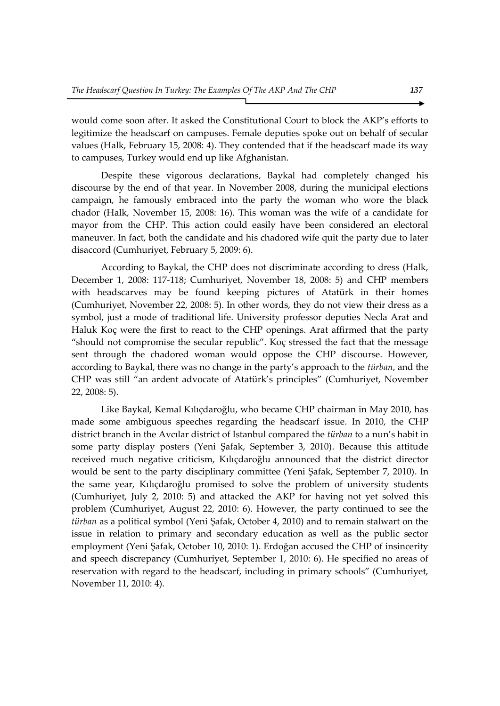would come soon after. It asked the Constitutional Court to block the AKP's efforts to legitimize the headscarf on campuses. Female deputies spoke out on behalf of secular values (Halk, February 15, 2008: 4). They contended that if the headscarf made its way to campuses, Turkey would end up like Afghanistan.

Despite these vigorous declarations, Baykal had completely changed his discourse by the end of that year. In November 2008, during the municipal elections campaign, he famously embraced into the party the woman who wore the black chador (Halk, November 15, 2008: 16). This woman was the wife of a candidate for mayor from the CHP. This action could easily have been considered an electoral maneuver. In fact, both the candidate and his chadored wife quit the party due to later disaccord (Cumhuriyet, February 5, 2009: 6).

According to Baykal, the CHP does not discriminate according to dress (Halk, December 1, 2008: 117-118; Cumhuriyet, November 18, 2008: 5) and CHP members with headscarves may be found keeping pictures of Atatürk in their homes (Cumhuriyet, November 22, 2008: 5). In other words, they do not view their dress as a symbol, just a mode of traditional life. University professor deputies Necla Arat and Haluk Koç were the first to react to the CHP openings. Arat affirmed that the party "should not compromise the secular republic". Koç stressed the fact that the message sent through the chadored woman would oppose the CHP discourse. However, according to Baykal, there was no change in the party's approach to the *türban*, and the CHP was still "an ardent advocate of Atatürk's principles" (Cumhuriyet, November 22, 2008: 5).

Like Baykal, Kemal Kılıçdaroğlu, who became CHP chairman in May 2010, has made some ambiguous speeches regarding the headscarf issue. In 2010, the CHP district branch in the Avcılar district of Istanbul compared the *türban* to a nun's habit in some party display posters (Yeni Şafak, September 3, 2010). Because this attitude received much negative criticism, Kılıçdaroğlu announced that the district director would be sent to the party disciplinary committee (Yeni Şafak, September 7, 2010). In the same year, Kılıçdaroğlu promised to solve the problem of university students (Cumhuriyet, July 2, 2010: 5) and attacked the AKP for having not yet solved this problem (Cumhuriyet, August 22, 2010: 6). However, the party continued to see the *türban* as a political symbol (Yeni Şafak, October 4, 2010) and to remain stalwart on the issue in relation to primary and secondary education as well as the public sector employment (Yeni Şafak, October 10, 2010: 1). Erdoğan accused the CHP of insincerity and speech discrepancy (Cumhuriyet, September 1, 2010: 6). He specified no areas of reservation with regard to the headscarf, including in primary schools" (Cumhuriyet, November 11, 2010: 4).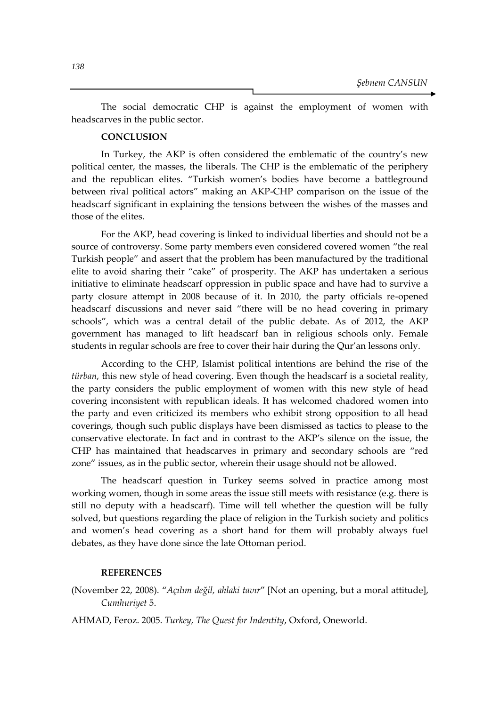The social democratic CHP is against the employment of women with headscarves in the public sector.

## **CONCLUSION**

In Turkey, the AKP is often considered the emblematic of the country's new political center, the masses, the liberals. The CHP is the emblematic of the periphery and the republican elites. "Turkish women's bodies have become a battleground between rival political actors" making an AKP-CHP comparison on the issue of the headscarf significant in explaining the tensions between the wishes of the masses and those of the elites.

For the AKP, head covering is linked to individual liberties and should not be a source of controversy. Some party members even considered covered women "the real Turkish people" and assert that the problem has been manufactured by the traditional elite to avoid sharing their "cake" of prosperity. The AKP has undertaken a serious initiative to eliminate headscarf oppression in public space and have had to survive a party closure attempt in 2008 because of it. In 2010, the party officials re-opened headscarf discussions and never said "there will be no head covering in primary schools", which was a central detail of the public debate. As of 2012, the AKP government has managed to lift headscarf ban in religious schools only. Female students in regular schools are free to cover their hair during the Qur'an lessons only.

According to the CHP, Islamist political intentions are behind the rise of the *türban*, this new style of head covering. Even though the headscarf is a societal reality, the party considers the public employment of women with this new style of head covering inconsistent with republican ideals. It has welcomed chadored women into the party and even criticized its members who exhibit strong opposition to all head coverings, though such public displays have been dismissed as tactics to please to the conservative electorate. In fact and in contrast to the AKP's silence on the issue, the CHP has maintained that headscarves in primary and secondary schools are "red zone" issues, as in the public sector, wherein their usage should not be allowed.

The headscarf question in Turkey seems solved in practice among most working women, though in some areas the issue still meets with resistance (e.g. there is still no deputy with a headscarf). Time will tell whether the question will be fully solved, but questions regarding the place of religion in the Turkish society and politics and women's head covering as a short hand for them will probably always fuel debates, as they have done since the late Ottoman period.

## **REFERENCES**

(November 22, 2008). "*Açılım değil, ahlaki tavır*" [Not an opening, but a moral attitude], *Cumhuriyet* 5.

AHMAD, Feroz. 2005. *Turkey, The Quest for Indentity*, Oxford, Oneworld.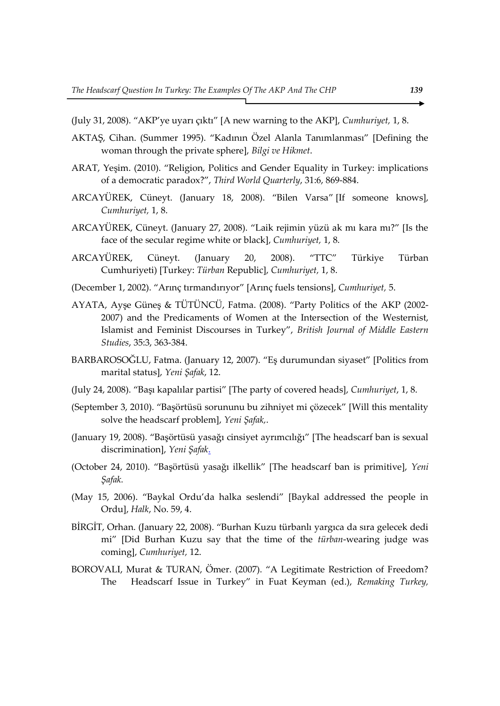- (July 31, 2008). "AKP'ye uyarı çıktı" [A new warning to the AKP], *Cumhuriyet,* 1, 8.
- AKTAŞ, Cihan. (Summer 1995). "Kadının Özel Alanla Tanımlanması" [Defining the woman through the private sphere], *Bilgi ve Hikmet*.
- ARAT, Yeşim. (2010). "Religion, Politics and Gender Equality in Turkey: implications of a democratic paradox?", *Third World Quarterly*, 31:6, 869-884.
- ARCAYÜREK, Cüneyt. (January 18, 2008). "Bilen Varsa" [If someone knows], *Cumhuriyet,* 1, 8.
- ARCAYÜREK, Cüneyt. (January 27, 2008). "Laik rejimin yüzü ak mı kara mı?" [Is the face of the secular regime white or black], *Cumhuriyet,* 1, 8.
- ARCAYÜREK, Cüneyt. (January 20, 2008). "TTC" Türkiye Türban Cumhuriyeti) [Turkey: *Türban* Republic], *Cumhuriyet,* 1, 8.
- (December 1, 2002). "Arınç tırmandırıyor" [Arınç fuels tensions], *Cumhuriyet,* 5.
- AYATA, Ayşe Güneş & TÜTÜNCÜ, Fatma. (2008). "Party Politics of the AKP (2002- 2007) and the Predicaments of Women at the Intersection of the Westernist, Islamist and Feminist Discourses in Turkey", *British Journal of Middle Eastern Studies*, 35:3, 363-384.
- BARBAROSOĞLU, Fatma. (January 12, 2007). "Eş durumundan siyaset" [Politics from marital status], *Yeni Şafak*, 12.
- (July 24, 2008). "Başı kapalılar partisi" [The party of covered heads], *Cumhuriyet*, 1, 8.
- (September 3, 2010). "Başörtüsü sorununu bu zihniyet mi çözecek" [Will this mentality solve the headscarf problem], *Yeni Şafak,*.
- (January 19, 2008). "Başörtüsü yasağı cinsiyet ayrımcılığı" [The headscarf ban is sexual discrimination], *Yeni Şafak*.
- (October 24, 2010). "Başörtüsü yasağı ilkellik" [The headscarf ban is primitive], *Yeni Şafak.*
- (May 15, 2006). "Baykal Ordu'da halka seslendi" [Baykal addressed the people in Ordu], *Halk*, No. 59, 4.
- BİRGİT, Orhan. (January 22, 2008). "Burhan Kuzu türbanlı yargıca da sıra gelecek dedi mi" [Did Burhan Kuzu say that the time of the *türban*-wearing judge was coming], *Cumhuriyet,* 12.
- BOROVALI, Murat & TURAN, Ömer. (2007). "A Legitimate Restriction of Freedom? The Headscarf Issue in Turkey" in Fuat Keyman (ed.), *Remaking Turkey,*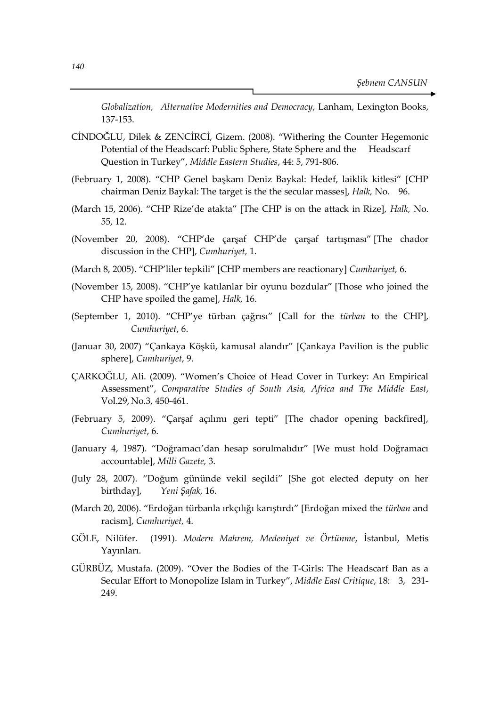*Globalization, Alternative Modernities and Democracy*, Lanham, Lexington Books, 137-153.

- CİNDOĞLU, Dilek & ZENCİRCİ, Gizem. (2008). "Withering the Counter Hegemonic Potential of the Headscarf: Public Sphere, State Sphere and the Headscarf Question in Turkey", *Middle Eastern Studies*, 44: 5, 791-806.
- (February 1, 2008). "CHP Genel başkanı Deniz Baykal: Hedef, laiklik kitlesi" [CHP chairman Deniz Baykal: The target is the the secular masses], *Halk,* No. 96.
- (March 15, 2006). "CHP Rize'de atakta" [The CHP is on the attack in Rize], *Halk,* No. 55, 12.
- (November 20, 2008). "CHP'de çarşaf CHP'de çarşaf tartışması" [The chador discussion in the CHP], *Cumhuriyet,* 1.
- (March 8, 2005). "CHP'liler tepkili" [CHP members are reactionary] *Cumhuriyet,* 6.
- (November 15, 2008). "CHP'ye katılanlar bir oyunu bozdular" [Those who joined the CHP have spoiled the game], *Halk,* 16.
- (September 1, 2010). "CHP'ye türban çağrısı" [Call for the *türban* to the CHP], *Cumhuriyet*, 6.
- (Januar 30, 2007) "Çankaya Köşkü, kamusal alandır" [Çankaya Pavilion is the public sphere], *Cumhuriyet*, 9.
- ÇARKOĞLU, Ali. (2009). "Women's Choice of Head Cover in Turkey: An Empirical Assessment", *Comparative Studies of South Asia, Africa and The Middle East*, Vol.29, No.3, 450-461.
- (February 5, 2009). "Çarşaf açılımı geri tepti" [The chador opening backfired], *Cumhuriyet*, 6.
- (January 4, 1987). "Doğramacı'dan hesap sorulmalıdır" [We must hold Doğramacı accountable], *Milli Gazete,* 3.
- (July 28, 2007). "Doğum gününde vekil seçildi" [She got elected deputy on her birthday], *Yeni Şafak,* 16.
- (March 20, 2006). "Erdoğan türbanla ırkçılığı karıştırdı" [Erdoğan mixed the *türban* and racism], *Cumhuriyet,* 4.
- GÖLE, Nilüfer. (1991). *Modern Mahrem, Medeniyet ve Örtünme*, İstanbul, Metis Yayınları.
- GÜRBÜZ, Mustafa. (2009). "Over the Bodies of the T-Girls: The Headscarf Ban as a Secular Effort to Monopolize Islam in Turkey", *Middle East Critique*, 18: 3, 231- 249.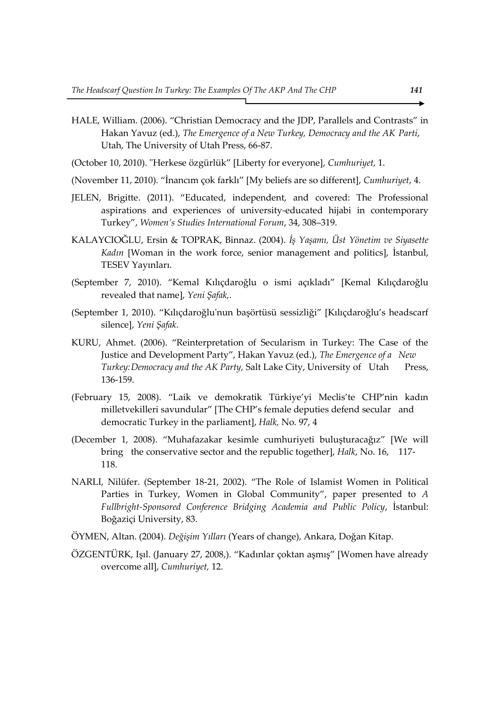- HALE, William. (2006). "Christian Democracy and the JDP, Parallels and Contrasts" in Hakan Yavuz (ed.), *The Emergence of a New Turkey, Democracy and the AK Parti*, Utah, The University of Utah Press, 66-87.
- (October 10, 2010). "Herkese özgürlük" [Liberty for everyone], *Cumhuriyet,* 1.
- (November 11, 2010). "İnancım çok farklı" [My beliefs are so different], *Cumhuriyet*, 4.
- JELEN, Brigitte. (2011). "Educated, independent, and covered: The Professional aspirations and experiences of university-educated hijabi in contemporary Turkey", *Women's Studies International Forum*, 34, 308–319.
- KALAYCIOĞLU, Ersin & TOPRAK, Binnaz. (2004). *İş Yaşamı, Üst Yönetim ve Siyasette Kadın* [Woman in the work force, senior management and politics], İstanbul, TESEV Yayınları.
- (September 7, 2010). "Kemal Kılıçdaroğlu o ismi açıkladı" [Kemal Kılıçdaroğlu revealed that name], *Yeni Şafak,*.
- (September 1, 2010). "Kılıçdaroğlu'nun başörtüsü sessizliği" [Kılıçdaroğlu's headscarf silence], *Yeni Şafak*.
- KURU, Ahmet. (2006). "Reinterpretation of Secularism in Turkey: The Case of the Justice and Development Party", Hakan Yavuz (ed.), *The Emergence of a New Turkey: Democracy and the AK Party, Salt Lake City, University of Utah* Press, 136-159.
- (February 15, 2008). "Laik ve demokratik Türkiye'yi Meclis'te CHP'nin kadın milletvekilleri savundular" [The CHP's female deputies defend secular and democratic Turkey in the parliament], *Halk,* No. 97, 4
- (December 1, 2008). "Muhafazakar kesimle cumhuriyeti buluşturacağız" [We will bring the conservative sector and the republic together], *Halk*, No. 16, 117- 118.
- NARLI, Nilüfer. (September 18-21, 2002). "The Role of Islamist Women in Political Parties in Turkey, Women in Global Community", paper presented to *A Fullbright-Sponsored Conference Bridging Academia and Public Policy*, İstanbul: Boğaziçi University, 83.
- ÖYMEN, Altan. (2004). *Değişim Yılları* (Years of change), Ankara, Doğan Kitap.
- ÖZGENTÜRK, Işıl. (January 27, 2008,). "Kadınlar çoktan aşmış" [Women have already overcome all], *Cumhuriyet,* 12.